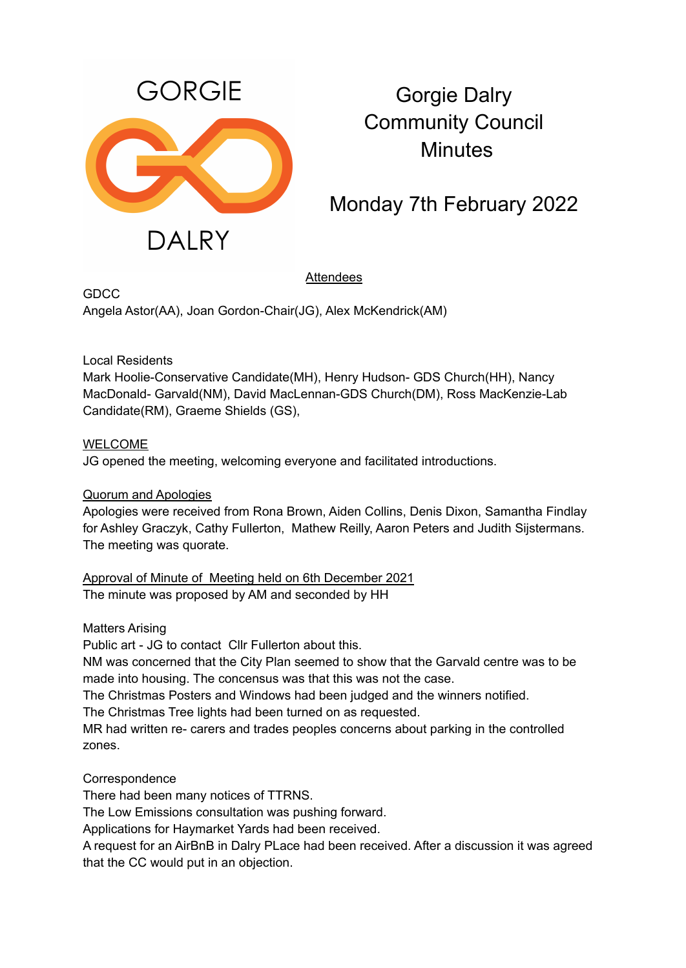

## Gorgie Dalry Community Council **Minutes**

Monday 7th February 2022

Attendees

GDCC Angela Astor(AA), Joan Gordon-Chair(JG), Alex McKendrick(AM)

Local Residents

Mark Hoolie-Conservative Candidate(MH), Henry Hudson- GDS Church(HH), Nancy MacDonald- Garvald(NM), David MacLennan-GDS Church(DM), Ross MacKenzie-Lab Candidate(RM), Graeme Shields (GS),

## **WELCOME**

JG opened the meeting, welcoming everyone and facilitated introductions.

## Quorum and Apologies

Apologies were received from Rona Brown, Aiden Collins, Denis Dixon, Samantha Findlay for Ashley Graczyk, Cathy Fullerton, Mathew Reilly, Aaron Peters and Judith Sijstermans. The meeting was quorate.

Approval of Minute of Meeting held on 6th December 2021 The minute was proposed by AM and seconded by HH

Matters Arising

Public art - JG to contact Cllr Fullerton about this.

NM was concerned that the City Plan seemed to show that the Garvald centre was to be made into housing. The concensus was that this was not the case.

The Christmas Posters and Windows had been judged and the winners notified.

The Christmas Tree lights had been turned on as requested.

MR had written re- carers and trades peoples concerns about parking in the controlled zones.

Correspondence

There had been many notices of TTRNS.

The Low Emissions consultation was pushing forward.

Applications for Haymarket Yards had been received.

A request for an AirBnB in Dalry PLace had been received. After a discussion it was agreed that the CC would put in an objection.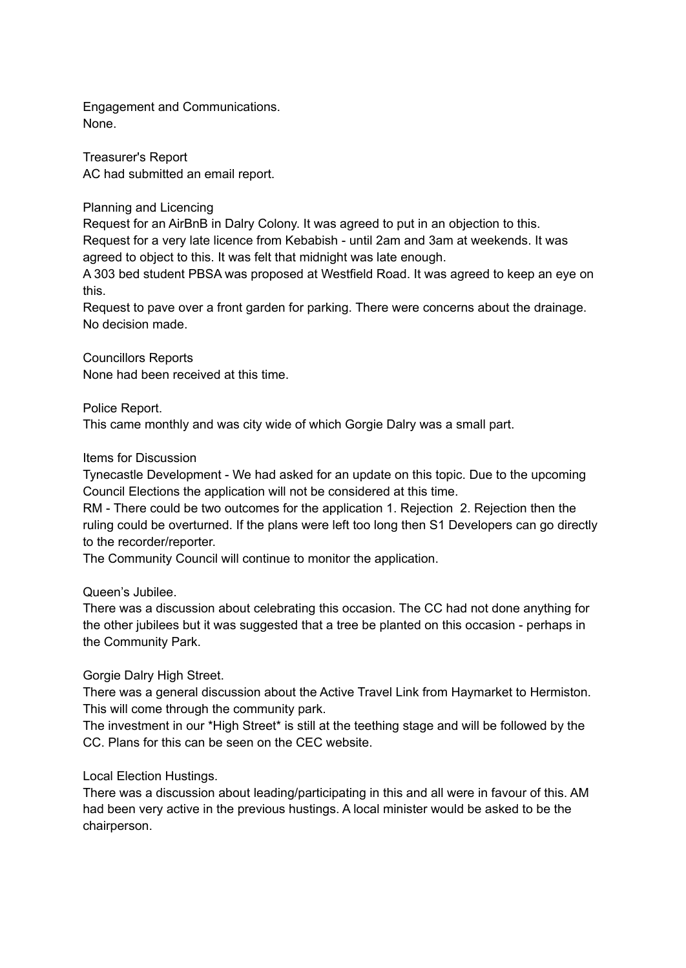Engagement and Communications. None.

Treasurer's Report AC had submitted an email report.

Planning and Licencing

Request for an AirBnB in Dalry Colony. It was agreed to put in an objection to this. Request for a very late licence from Kebabish - until 2am and 3am at weekends. It was agreed to object to this. It was felt that midnight was late enough.

A 303 bed student PBSA was proposed at Westfield Road. It was agreed to keep an eye on this.

Request to pave over a front garden for parking. There were concerns about the drainage. No decision made.

Councillors Reports None had been received at this time.

Police Report.

This came monthly and was city wide of which Gorgie Dalry was a small part.

Items for Discussion

Tynecastle Development - We had asked for an update on this topic. Due to the upcoming Council Elections the application will not be considered at this time.

RM - There could be two outcomes for the application 1. Rejection 2. Rejection then the ruling could be overturned. If the plans were left too long then S1 Developers can go directly to the recorder/reporter.

The Community Council will continue to monitor the application.

Queen's Jubilee.

There was a discussion about celebrating this occasion. The CC had not done anything for the other jubilees but it was suggested that a tree be planted on this occasion - perhaps in the Community Park.

Gorgie Dalry High Street.

There was a general discussion about the Active Travel Link from Haymarket to Hermiston. This will come through the community park.

The investment in our \*High Street\* is still at the teething stage and will be followed by the CC. Plans for this can be seen on the CEC website.

Local Election Hustings.

There was a discussion about leading/participating in this and all were in favour of this. AM had been very active in the previous hustings. A local minister would be asked to be the chairperson.